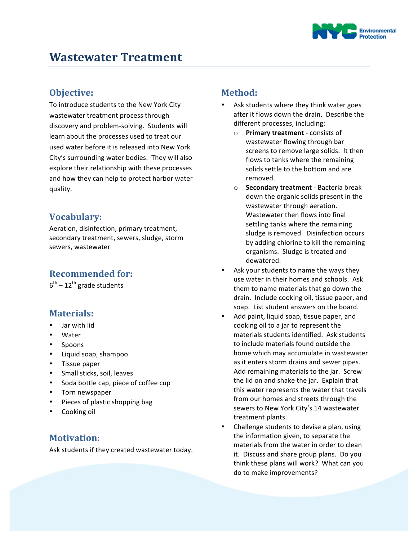

## **Objective:**

To introduce students to the New York City wastewater treatment process through discovery and problem-solving. Students will learn about the processes used to treat our used water before it is released into New York City's surrounding water bodies. They will also explore their relationship with these processes and how they can help to protect harbor water quality.

# **Vocabulary:**

Aeration, disinfection, primary treatment, secondary treatment, sewers, sludge, storm sewers, wastewater

## **Recommended for:**

 $6^{th}$  – 12<sup>th</sup> grade students

#### **Materials:**

- Jar with lid
- **Water**
- Spoons
- Liquid soap, shampoo
- Tissue paper
- Small sticks, soil, leaves
- Soda bottle cap, piece of coffee cup
- Torn newspaper
- Pieces of plastic shopping bag
- Cooking oil

### **Motivation:**

Ask students if they created wastewater today.

### **Method:**

- Ask students where they think water goes after it flows down the drain. Describe the different processes, including:
	- o **Primary treatment** consists of wastewater flowing through bar screens to remove large solids. It then flows to tanks where the remaining solids settle to the bottom and are removed.
	- o **Secondary treatment** Bacteria break down the organic solids present in the wastewater through aeration. Wastewater then flows into final settling tanks where the remaining sludge is removed. Disinfection occurs by adding chlorine to kill the remaining organisms. Sludge is treated and dewatered.
- Ask your students to name the ways they use water in their homes and schools. Ask them to name materials that go down the drain. Include cooking oil, tissue paper, and soap. List student answers on the board.
- Add paint, liquid soap, tissue paper, and cooking oil to a jar to represent the materials students identified. Ask students to include materials found outside the home which may accumulate in wastewater as it enters storm drains and sewer pipes. Add remaining materials to the jar. Screw the lid on and shake the jar. Explain that this water represents the water that travels from our homes and streets through the sewers to New York City's 14 wastewater treatment plants.
- Challenge students to devise a plan, using the information given, to separate the materials from the water in order to clean it. Discuss and share group plans. Do you think these plans will work? What can you do to make improvements?